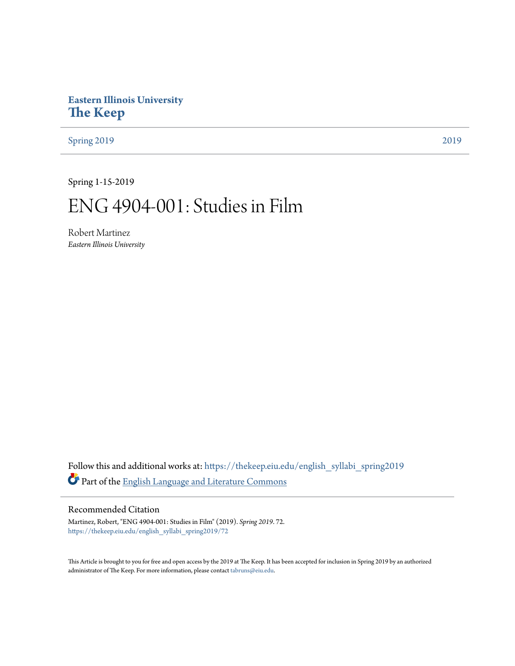# **Eastern Illinois University [The Keep](https://thekeep.eiu.edu?utm_source=thekeep.eiu.edu%2Fenglish_syllabi_spring2019%2F72&utm_medium=PDF&utm_campaign=PDFCoverPages)**

[Spring 2019](https://thekeep.eiu.edu/english_syllabi_spring2019?utm_source=thekeep.eiu.edu%2Fenglish_syllabi_spring2019%2F72&utm_medium=PDF&utm_campaign=PDFCoverPages) [2019](https://thekeep.eiu.edu/english_syllabi2019?utm_source=thekeep.eiu.edu%2Fenglish_syllabi_spring2019%2F72&utm_medium=PDF&utm_campaign=PDFCoverPages)

Spring 1-15-2019

# ENG 4904-001: Studies in Film

Robert Martinez *Eastern Illinois University*

Follow this and additional works at: [https://thekeep.eiu.edu/english\\_syllabi\\_spring2019](https://thekeep.eiu.edu/english_syllabi_spring2019?utm_source=thekeep.eiu.edu%2Fenglish_syllabi_spring2019%2F72&utm_medium=PDF&utm_campaign=PDFCoverPages) Part of the [English Language and Literature Commons](http://network.bepress.com/hgg/discipline/455?utm_source=thekeep.eiu.edu%2Fenglish_syllabi_spring2019%2F72&utm_medium=PDF&utm_campaign=PDFCoverPages)

#### Recommended Citation

Martinez, Robert, "ENG 4904-001: Studies in Film" (2019). *Spring 2019*. 72. [https://thekeep.eiu.edu/english\\_syllabi\\_spring2019/72](https://thekeep.eiu.edu/english_syllabi_spring2019/72?utm_source=thekeep.eiu.edu%2Fenglish_syllabi_spring2019%2F72&utm_medium=PDF&utm_campaign=PDFCoverPages)

This Article is brought to you for free and open access by the 2019 at The Keep. It has been accepted for inclusion in Spring 2019 by an authorized administrator of The Keep. For more information, please contact [tabruns@eiu.edu.](mailto:tabruns@eiu.edu)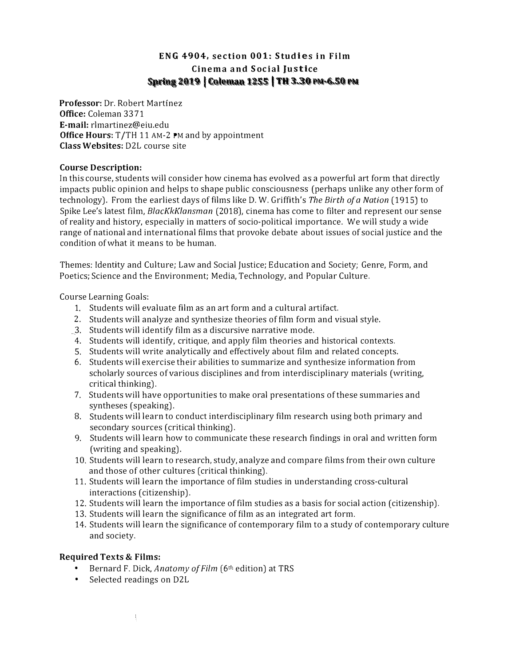# ENG 4904, section 001: Studies in Film Spring 2019 | Coleman 1255 | TH 3.30 PM-6.50 PM Cinema and Social Justice

Professor: Dr. Robert Martinez Office: Coleman 3371 E-mail: rlmartinez@eiu.edu Office Hours: T/TH 11 AM-2 PM and by appointment Class Websites: D2L course site

#### Course Description:

In this course, students will consider how cinema has evolved as a powerful art form that directly impacts public opinion and helps to shape public consciousness (perhaps unlike any other form of technology). From the earliest days of films like D. W. Griffith's The Birth of a Nation (1915) to Spike Lee's latest film, BlacKkK/ansman (2018), cinema has come to filter and represent our sense of reality and history, especially in matters of socio-political importance. We will study a wide range of national and international films that provoke debate about issues of social justice and the condition of what it means to be human.

Themes: Identity and Culture; Law and Social justice; Education and Society; Genre, Form, and Poetics; Science and the Environment; Media, Technology, and Popular Culture.

Course Learning Goals:

- 1. Students will evaluate film as an art form and a cultural artifact.
- 2. Students will analyze and synthesize theories of film form and visual style.
- 3. Students will identify film as a discursive narrative mode.
- 4. Students will identify, critique, and apply film theories and historical contexts.
- 5. Students will write analytically and effectively about film and related concepts.
- 6. Students will exercise their abilities to summarize and synthesize information from scholarly sources of various disciplines and from interdisciplinary materials (writing, critical thinking).
- 7. Students will have opportunities to make oral presentations of these summaries and syntheses (speaking).
- 8. Students will learn to conduct interdisciplinary film research using both primary and secondary sources (critical thinking).
- 9. Students will learn how to communicate these research findings in oral and written form (writing and speaking).
- 10. Students will learn to research, study, analyze and compare films from their own culture and those of other cultures (critical thinking).
- 11. Students will learn the importance of film studies in understanding cross-cultural interactions (citizenship).
- 12. Students will learn the importance of film studies as a basis for social action (citizenship).
- 13. Students will learn the significance of film as an integrated art form.
- 14. Students will learn the significance of contemporary film to a study of contemporary culture and society.

### Required Texts & Films:

- Bernard F. Dick, Anatomy of Film (6th edition) at TRS
- Selected readings on D2L

ŧ.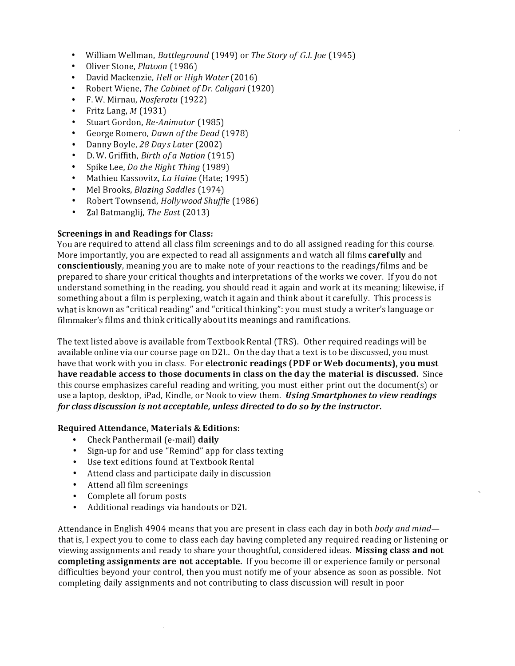- William Wellman, Battleground (1949) or The Story of G.I. Joe (1945)
- Oliver Stone, Platoon (1986)
- David Mackenzie, Hell or High Water (2016)
- Robert Wiene, The Cabinet of Dr. Caligari (1920)
- F. W. Mirnau, Nosferatu (1922)
- Fritz Lang,  $M(1931)$
- Stuart Gordon, Re-Animator (1985)
- George Romero, Dawn of the Dead (1978)
- Danny Boyle, 28 Days Later (2002)
- D. W. Griffith, Birth of a Nation (1915)
- Spike Lee, Do the Right Thing (1989)
- Mathieu Kassovitz, La Haine (Hate; 1995)
- Mel Brooks, Blazing Saddles (1974)
- Robert Townsend, Hollywood Shuffle (1986)
- Zal Batmanglij, The East (2013)

#### Screenings in and Readings for Class:

You are required to attend all class film screenings and to do all assigned reading for this course. More importantly, you are expected to read all assignments and watch all films carefully and conscientiously, meaning you are to make note of your reactions to the readings/films and be prepared to share your critical thoughts and interpretations of the works we cover. If you do not understand something in the reading, you should read it again and work at its meaning; likewise, if something about a film is perplexing, watch it again and think about it carefully. This process is what is known as "critical reading" and "critical thinking": you must study a writer's language or filmmaker's films and think critically about its meanings and ramifications.

The text listed above is available from Textbook Rental (TRS). Other required readings will be available online via our course page on D2L. On the day that a text is to be discussed, you must have that work with you in class. For electronic readings (PDF or Web documents), you must have readable access to those documents in class on the day the material is discussed. Since this course emphasizes careful reading and writing, you must either print out the document(s) or use a laptop, desktop, iPad, Kindle, or Nook to view them. *Using Smartphones to view readings* for class discussion is not acceptable, unless directed to do so by the instructor.

#### Required Attendance, Materials & Editions:

- Check Panthermail (e-mail) daily
- Sign-up for and use "Remind" app for class texting
- Use text editions found at Textbook Rental
- Attend class and participate daily in discussion
- Attend all film screenings
- Complete all forum posts
- Additional readings via handouts or D2L

Attendance in English 4904 means that you are present in class each day in both body and mind that is, I expect you to come to class each day having completed any required reading or listening or viewing assignments and ready to share your thoughtful, considered ideas. Missing class and not completing assignments are not acceptable. If you become ill or experience family or personal difficulties beyond your control, then you must notify me of your absence as soon as possible. Not completing daily assignments and not contributing to class discussion will result in poor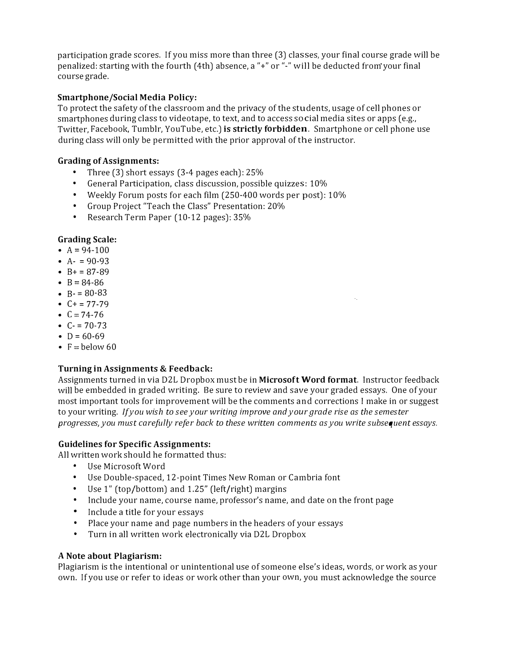participation grade scores. If you miss more than three (3) classes, your final course grade will be penalized: starting with the fourth (4th) absence, a "+" or "-" will be deducted from your final course grade.

### Smartphone/Social Media Policy:

To protect the safety of the classroom and the privacy of the students, usage of cell phones or smartphones during class to videotape, to text, and to access social media sites or apps (e.g., Twitter, Facebook, Tumblr, YouTube, etc.) is strictly forbidden. Smartphone or cell phone use during class will only be permitted with the prior approval of the instructor.

## Grading of Assignments:

- Three (3) short essays (3-4 pages each): 25%
- General Participation, class discussion, possible quizzes: 10%
- Weekly Forum posts for each film (250-400 words per post): 10%
- Group Project "Teach the Class" Presentation: 20%
- Research Term Paper (10-12 pages): 35%

### Grading Scale:

- $A = 94-100$
- $A 90 93$
- $B+ = 87-89$
- $B = 84-86$
- $B = 80-83$
- $C+ = 77-79$
- $C = 74-76$
- $C = 70-73$
- $D = 60-69$
- $F =$  below 60

### Turning in Assignments & Feedback:

Assignments turned in via D2L Dropbox must be in Microsoft Word format. Instructor feedback will be embedded in graded writing. Se sure to review and save your graded essays. One of your most important tools for improvement will be the comments and corrections I make in or suggest to your writing. If you wish to see your writing improve and your grade rise as the semester progresses, you must carefully refer back to these written comments as you write subsequent essays.

## Guidelines for Specific Assignments:

All written work should he formatted thus:

- Use Microsoft Word
- Use Double-spaced, 12-point Times New Roman or Cambria font
- Use 1" (top/bottom) and 1.25" (left/right) margins
- include your name, course name, professor's name, and date on the front page
- Include a title for your essays
- Place your name and page numbers in the headers of your essays
- Turn in all written work electronically via D2L Dropbox

### A Note about Plagiarism:

Plagiarism is the intentional or unintentional use of someone else's ideas, words, or work as your own. If you use or refer to ideas or work other than your own, you must acknowledge the source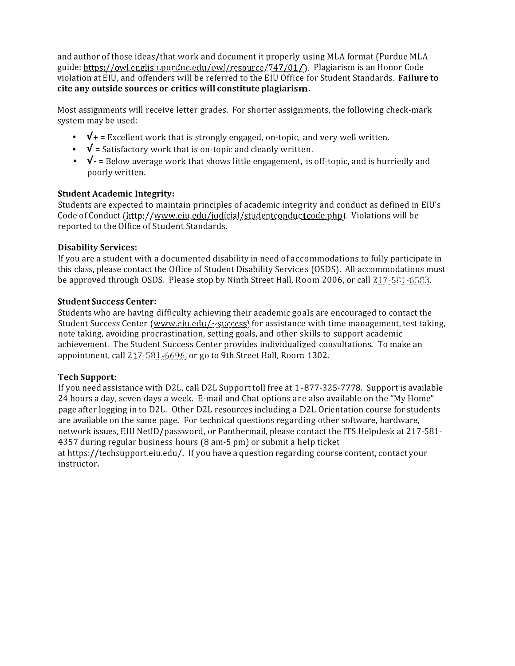and author of those ideas/that work and document it properly using MLA format (Purdue MLA guide: https://owl.english.purdue.edu/owl/resource/747/01/). Plagiarism is an Honor Code violation at EIU, and offenders will be referred to the EIU Office for Student Standards. Failure to cite any outside sources or critics will constitute plagiarism.

Most assignments will receive letter grades. For shorter assignments, the following check-mark system may be used:

- $\sqrt{+}$  = Excellent work that is strongly engaged, on-topic, and very well written.
- $\sqrt{\ }$  = Satisfactory work that is on-topic and cleanly written.
- $\sqrt{\cdot}$  = Below average work that shows little engagement, is off-topic, and is hurriedly and poorly written.

#### Student Academic Integrity:

Students are expected to maintain principles of academic integrity and conduct as defined in EIU's Code of Conduct (http://www.eiu.edu/judicial/studentconductcode.php). Violations will be reported to the Office of Student Standards.

#### Disability Services:

If you are a student with a documented disability in need of accommodations to fully participate in this class, please contact the Office of Student Disability Services (OSDS). All accommodations must be approved through OSDS. Please stop by Ninth Street Hall, Room 2006, or call 217-581-6583.

#### Student Success Center:

Students who are having difficulty achieving their academic goals are encouraged to contact the Student Success Center (www.eiu.edu/ $\sim$ success) for assistance with time management, test taking, note taking, avoiding procrastination, setting goals, and other skills to support academic achievement. The Student Success Center provides individualized consultations. To make an appointment, call  $217-581-6696$ , or go to 9th Street Hall, Room 1302.

### Tech Support:

If you need assistance with D2L, call D2L Support toll free at 1-877-325-7778. Support is available 24 hours a day, seven days a week. E-mail and Chat options are also available on the "My Home" page after logging in to D2L. Other D2L resources including a D2L Orientation course for students are available on the same page. For technical questions regarding other software, hardware, network issues, EIU NetID/password, or Panthermail, please contact the ITS Helpdesk at 217-581- 4357 during regular business hours (8 am-5 pm) or submit a help ticket at https://techsupport.eiu.edu/. If you have a question regarding course content, contact your instructor.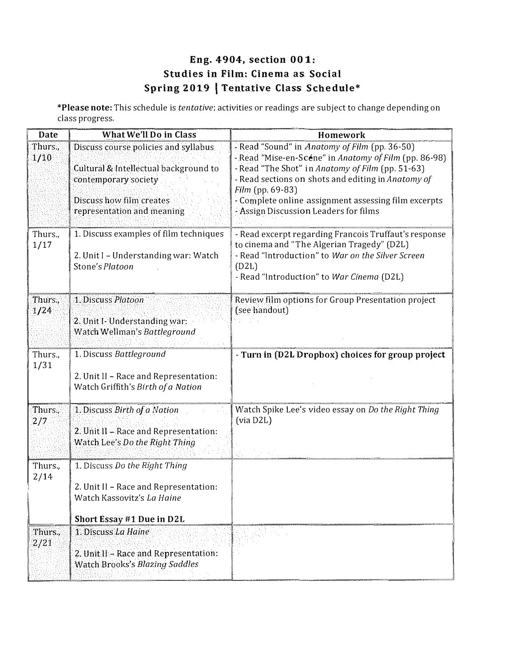# Eng. 4904, section 001: Studies in Film: Cinema as Social Spring 2019 | Tentative Class Schedule\*

\*Please note: This schedule is tentative; activities or readings are subject to change depending on class progress.

| Date            | What We'll Do in Class                                                                                                                                          | Homework                                                                                                                                                                                                                                                                                                                              |
|-----------------|-----------------------------------------------------------------------------------------------------------------------------------------------------------------|---------------------------------------------------------------------------------------------------------------------------------------------------------------------------------------------------------------------------------------------------------------------------------------------------------------------------------------|
| Thurs.,<br>1/10 | Discuss course policies and syllabus<br>Cultural & Intellectual background to<br>contemporary society<br>Discuss how film creates<br>representation and meaning | - Read "Sound" in Anatomy of Film (pp. 36-50)<br>- Read "Mise-en-Scéne" in Anatomy of Film (pp. 86-98)<br>- Read "The Shot" in Anatomy of Film (pp. 51-63)<br>- Read sections on shots and editing in Anatomy of<br>Film (pp. 69-83)<br>- Complete online assignment assessing film excerpts<br>- Assign Discussion Leaders for films |
| Thurs.,<br>1/17 | 1. Discuss examples of film techniques<br>2. Unit I - Understanding war: Watch<br>Stone's Platoon                                                               | - Read excerpt regarding Francois Truffaut's response<br>to cinema and "The Algerian Tragedy" (D2L)<br>- Read "Introduction" to War on the Silver Screen<br>(D2L)<br>- Read "Introduction" to War Cinema (D2L)                                                                                                                        |
| Thurs.,<br>1/24 | 1. Discuss Platoon<br>2. Unit I- Understanding war:<br>Watch Wellman's Battleground                                                                             | Review film options for Group Presentation project<br>(see handout)                                                                                                                                                                                                                                                                   |
| Thurs.,<br>1/31 | 1. Discuss Battleground<br>2. Unit II - Race and Representation:<br>Watch Griffith's Birth of a Nation                                                          | - Turn in (D2L Dropbox) choices for group project                                                                                                                                                                                                                                                                                     |
| Thurs.,<br>2/7  | 1. Discuss Birth of a Nation<br>2. Unit II - Race and Representation:<br>Watch Lee's Do the Right Thing                                                         | Watch Spike Lee's video essay on Do the Right Thing<br>(via D2L)                                                                                                                                                                                                                                                                      |
| Thurs.,<br>2/14 | 1. Discuss Do the Right Thing<br>2. Unit II - Race and Representation:<br>Watch Kassovitz's La Haine<br>Short Essay #1 Due in D2L                               |                                                                                                                                                                                                                                                                                                                                       |
| Thurs.,<br>2/21 | 1. Discuss La Haine<br>2. Unit II - Race and Representation:<br>Watch Brooks's Blazing Saddles                                                                  |                                                                                                                                                                                                                                                                                                                                       |